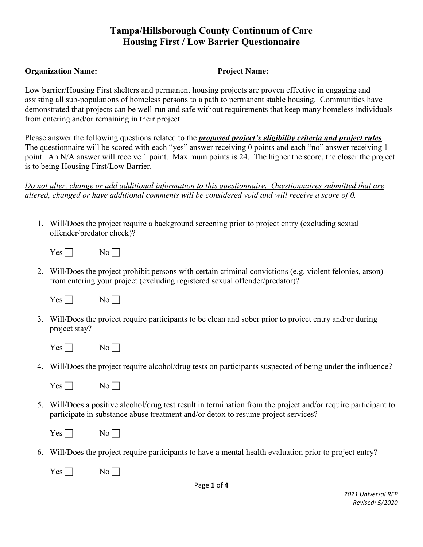**Organization Name:** The Project Name:  $P$ 

Low barrier/Housing First shelters and permanent housing projects are proven effective in engaging and assisting all sub-populations of homeless persons to a path to permanent stable housing. Communities have demonstrated that projects can be well-run and safe without requirements that keep many homeless individuals from entering and/or remaining in their project.

Please answer the following questions related to the *proposed project's eligibility criteria and project rules*. The questionnaire will be scored with each "yes" answer receiving 0 points and each "no" answer receiving 1 point. An N/A answer will receive 1 point. Maximum points is 24. The higher the score, the closer the project is to being Housing First/Low Barrier.

*Do not alter, change or add additional information to this questionnaire. Questionnaires submitted that are altered, changed or have additional comments will be considered void and will receive a score of 0.* 

1. Will/Does the project require a background screening prior to project entry (excluding sexual offender/predator check)?

 $Yes \Box$  No

2. Will/Does the project prohibit persons with certain criminal convictions (e.g. violent felonies, arson) from entering your project (excluding registered sexual offender/predator)?

| --                       | NO |
|--------------------------|----|
| -                        | -  |
|                          |    |
| $\overline{\phantom{a}}$ |    |

- 3. Will/Does the project require participants to be clean and sober prior to project entry and/or during project stay?
	- $Yes \Box$  No  $\Box$
- 4. Will/Does the project require alcohol/drug tests on participants suspected of being under the influence?

| es | N٥ |
|----|----|
|    |    |
|    |    |

5. Will/Does a positive alcohol/drug test result in termination from the project and/or require participant to participate in substance abuse treatment and/or detox to resume project services?

| --<br>$\overline{\phantom{0}}$ |  |
|--------------------------------|--|
|--------------------------------|--|

- 6. Will/Does the project require participants to have a mental health evaluation prior to project entry?
	- $Yes \Box$  No  $\Box$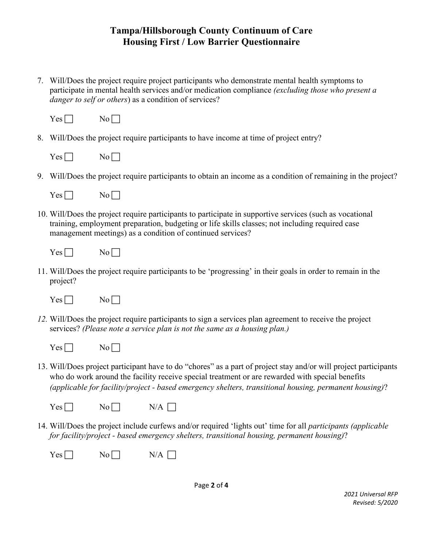7. Will/Does the project require project participants who demonstrate mental health symptoms to participate in mental health services and/or medication compliance *(excluding those who present a danger to self or others*) as a condition of services?

| T   | NΩ |
|-----|----|
| es. | -  |
| -   |    |
|     |    |

8. Will/Does the project require participants to have income at time of project entry?

| es. | ı<br>ง∩ |
|-----|---------|
|-----|---------|

9. Will/Does the project require participants to obtain an income as a condition of remaining in the project?

| ÷.<br>- -<br>- | V.<br>л.<br>-<br>- |
|----------------|--------------------|
|----------------|--------------------|

10. Will/Does the project require participants to participate in supportive services (such as vocational training, employment preparation, budgeting or life skills classes; not including required case management meetings) as a condition of continued services?

| --<br>- -<br>-<br>- |  |  |  |
|---------------------|--|--|--|
|---------------------|--|--|--|

11. Will/Does the project require participants to be 'progressing' in their goals in order to remain in the project?



- *12.* Will/Does the project require participants to sign a services plan agreement to receive the project services? *(Please note a service plan is not the same as a housing plan.)* 
	- $Yes \Box$  No  $\Box$
- 13. Will/Does project participant have to do "chores" as a part of project stay and/or will project participants who do work around the facility receive special treatment or are rewarded with special benefits *(applicable for facility/project - based emergency shelters, transitional housing, permanent housing)*?

| <b>Yes</b><br>ı<br>- | N<br>- | Δ<br>N |
|----------------------|--------|--------|
|----------------------|--------|--------|

14. Will/Does the project include curfews and/or required 'lights out' time for all *participants (applicable for facility/project - based emergency shelters, transitional housing, permanent housing)*?

| Yes <sub>l</sub><br>- |  | N/<br>А |
|-----------------------|--|---------|
|-----------------------|--|---------|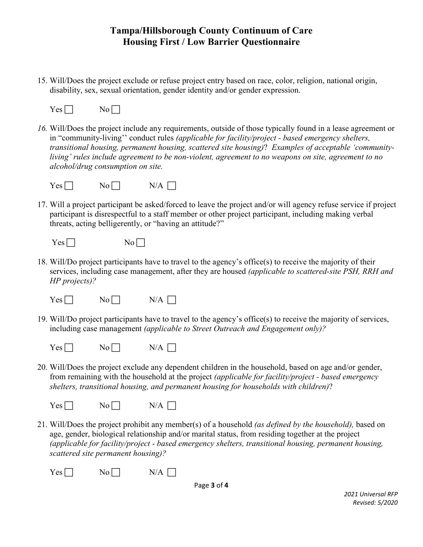15. Will/Does the project exclude or refuse project entry based on race, color, religion, national origin, disability, sex, sexual orientation, gender identity and/or gender expression.

```
Yes \Box No \Box
```
*16.* Will/Does the project include any requirements, outside of those typically found in a lease agreement or in "community-living'' conduct rules *(applicable for facility/project - based emergency shelters, transitional housing, permanent housing, scattered site housing)*? *Examples of acceptable 'communityliving' rules include agreement to be non-violent, agreement to no weapons on site, agreement to no alcohol/drug consumption on site.* 



17. Will a project participant be asked/forced to leave the project and/or will agency refuse service if project participant is disrespectful to a staff member or other project participant, including making verbal threats, acting belligerently, or "having an attitude?"

| Ë<br>⊏<br>-<br>- - | ١,<br>N 6<br>$\overline{\phantom{0}}$ |
|--------------------|---------------------------------------|
|--------------------|---------------------------------------|

18. Will/Do project participants have to travel to the agency's office(s) to receive the majority of their services, including case management, after they are housed *(applicable to scattered-site PSH, RRH and HP projects)?*

| Yes <sub>l</sub> | No [       | $N/A$ $\lceil$ |
|------------------|------------|----------------|
| - - -            | <u>.</u> . |                |

19. Will/Do project participants have to travel to the agency's office(s) to receive the majority of services, including case management *(applicable to Street Outreach and Engagement only)?*

| Yes <sub>l</sub><br>No [<br><u>.</u> .<br>- -- | N/A |
|------------------------------------------------|-----|
|------------------------------------------------|-----|

20. Will/Does the project exclude any dependent children in the household, based on age and/or gender, from remaining with the household at the project *(applicable for facility/project - based emergency shelters, transitional housing, and permanent housing for households with children)*?

```
Yes \Box \qquad No \Box \qquad N/A \Box
```
21. Will/Does the project prohibit any member(s) of a household *(as defined by the household),* based on age, gender, biological relationship and/or marital status, from residing together at the project *(applicable for facility/project - based emergency shelters, transitional housing, permanent housing, scattered site permanent housing)?*

 $Yes \Box$  No  $N/A \Box$